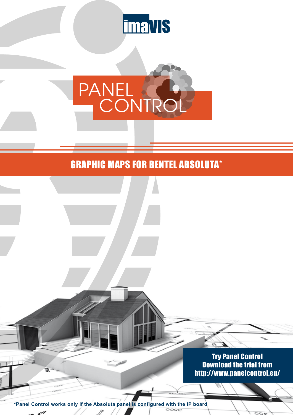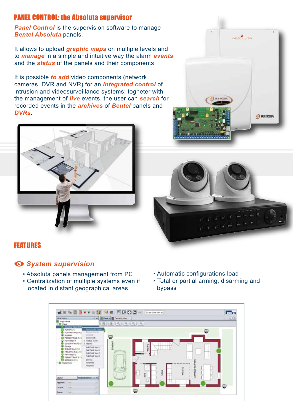## PANEL CONTROL: the Absoluta supervisor *Maps management*

**Panel Control** is the supervision software to manage *Bentel Absoluta* panels.

It allows to upload *graphic maps* on multiple levels and to *manage* in a simple and intuitive way the alarm *events* and the *status* of the panels and their components.

It is possible *to add* video components (network cameras, DVR and NVR) for an *integrated control* of intrusion and videosurveillance systems; togheter with the management of *live* events, the user can *search* for recorded events in the *archives* of *Bentel* panels and *DVRs*.







## *System supervision*

- Absoluta panels management from PC
- Centralization of multiple systems even if located in distant geographical areas
- Automatic configurations load
- Total or partial arming, disarming and bypass

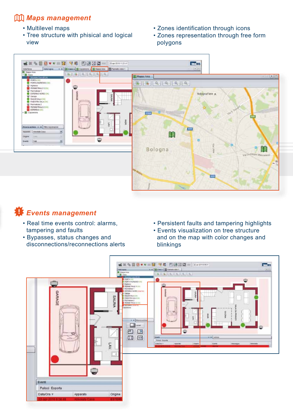# $DD$  Maps management

- Multilevel maps
- Tree structure with phisical and logical view
- Zones identification through icons
- Zones representation through free form polygons



# *Events management*

- Real time events control: alarms, tampering and faults
- Bypasses, status changes and disconnections/reconnections alerts blinkings
- Persistent faults and tampering highlights
- Events visualization on tree structure and on the map with color changes and